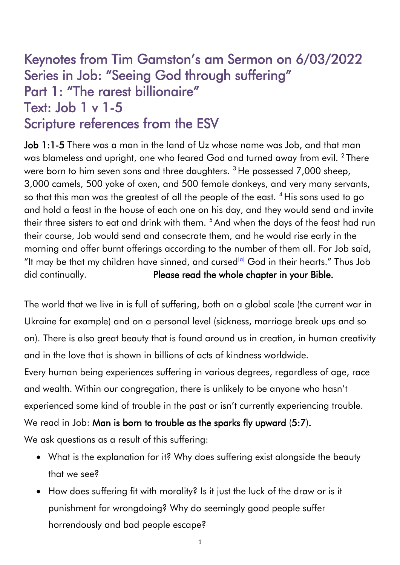# Keynotes from Tim Gamston's am Sermon on 6/03/2022 Series in Job: "Seeing God through suffering" Part 1: "The rarest billionaire" Text: Job 1 v 1-5 Scripture references from the ESV

Job 1:1-5 There was a man in the land of Uz whose name was Job, and that man was blameless and upright, one who feared God and turned away from evil.  $^2$  There were born to him seven sons and three daughters.<sup>3</sup> He possessed 7,000 sheep, 3,000 camels, 500 yoke of oxen, and 500 female donkeys, and very many servants, so that this man was the greatest of all the people of the east. <sup>4</sup> His sons used to go and hold a feast in the house of each one on his day, and they would send and invite their three sisters to eat and drink with them. <sup>5</sup> And when the days of the feast had run their course, Job would send and consecrate them, and he would rise early in the morning and offer burnt offerings according to the number of them all. For Job said, "It may be that my children have sinned, and cursed $[a]$  God in their hearts." Thus Job did continually. Please read the whole chapter in your Bible.

The world that we live in is full of suffering, both on a global scale (the current war in Ukraine for example) and on a personal level (sickness, marriage break ups and so on). There is also great beauty that is found around us in creation, in human creativity and in the love that is shown in billions of acts of kindness worldwide.

Every human being experiences suffering in various degrees, regardless of age, race and wealth. Within our congregation, there is unlikely to be anyone who hasn't experienced some kind of trouble in the past or isn't currently experiencing trouble.

We read in Job: Man is born to trouble as the sparks fly upward (5:7).

We ask questions as a result of this suffering:

- What is the explanation for it? Why does suffering exist alongside the beauty that we see?
- How does suffering fit with morality? Is it just the luck of the draw or is it punishment for wrongdoing? Why do seemingly good people suffer horrendously and bad people escape?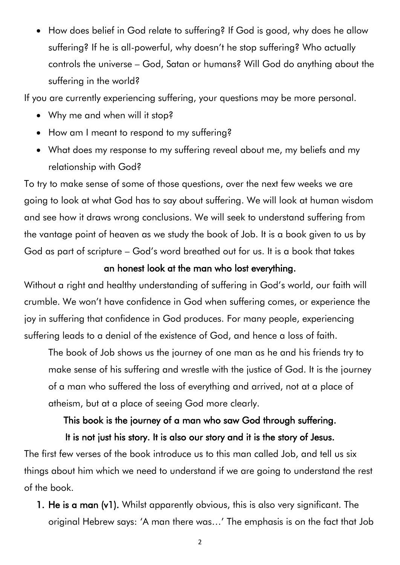• How does belief in God relate to suffering? If God is good, why does he allow suffering? If he is all-powerful, why doesn't he stop suffering? Who actually controls the universe – God, Satan or humans? Will God do anything about the suffering in the world?

If you are currently experiencing suffering, your questions may be more personal.

- Why me and when will it stop?
- How am I meant to respond to my suffering?
- What does my response to my suffering reveal about me, my beliefs and my relationship with God?

To try to make sense of some of those questions, over the next few weeks we are going to look at what God has to say about suffering. We will look at human wisdom and see how it draws wrong conclusions. We will seek to understand suffering from the vantage point of heaven as we study the book of Job. It is a book given to us by God as part of scripture – God's word breathed out for us. It is a book that takes

### an honest look at the man who lost everything.

Without a right and healthy understanding of suffering in God's world, our faith will crumble. We won't have confidence in God when suffering comes, or experience the joy in suffering that confidence in God produces. For many people, experiencing suffering leads to a denial of the existence of God, and hence a loss of faith.

The book of Job shows us the journey of one man as he and his friends try to make sense of his suffering and wrestle with the justice of God. It is the journey of a man who suffered the loss of everything and arrived, not at a place of atheism, but at a place of seeing God more clearly.

# This book is the journey of a man who saw God through suffering. It is not just his story. It is also our story and it is the story of Jesus.

The first few verses of the book introduce us to this man called Job, and tell us six things about him which we need to understand if we are going to understand the rest of the book.

1. He is a man (v1). Whilst apparently obvious, this is also very significant. The original Hebrew says: 'A man there was…' The emphasis is on the fact that Job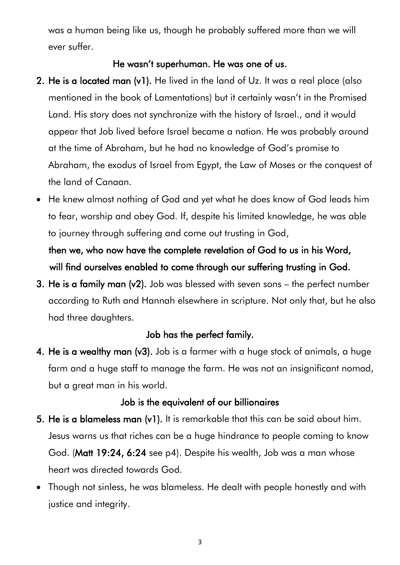was a human being like us, though he probably suffered more than we will ever suffer.

#### He wasn't superhuman. He was one of us.

- 2. He is a located man (v1). He lived in the land of Uz. It was a real place (also mentioned in the book of Lamentations) but it certainly wasn't in the Promised Land. His story does not synchronize with the history of Israel., and it would appear that Job lived before Israel became a nation. He was probably around at the time of Abraham, but he had no knowledge of God's promise to Abraham, the exodus of Israel from Egypt, the Law of Moses or the conquest of the land of Canaan.
- He knew almost nothing of God and yet what he does know of God leads him to fear, worship and obey God. If, despite his limited knowledge, he was able to journey through suffering and come out trusting in God, then we, who now have the complete revelation of God to us in his Word, will find ourselves enabled to come through our suffering trusting in God.
- 3. He is a family man (v2). Job was blessed with seven sons the perfect number according to Ruth and Hannah elsewhere in scripture. Not only that, but he also had three daughters.

### Job has the perfect family.

4. He is a wealthy man (v3). Job is a farmer with a huge stock of animals, a huge farm and a huge staff to manage the farm. He was not an insignificant nomad, but a great man in his world.

#### Job is the equivalent of our billionaires

- 5. He is a blameless man (v1). It is remarkable that this can be said about him. Jesus warns us that riches can be a huge hindrance to people coming to know God. (Matt 19:24, 6:24 see p4). Despite his wealth, Job was a man whose heart was directed towards God.
- Though not sinless, he was blameless. He dealt with people honestly and with justice and integrity.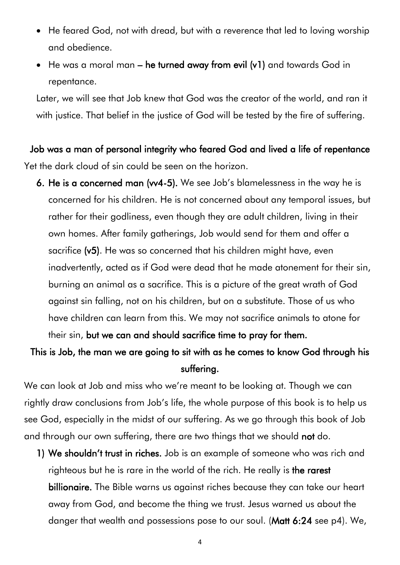- He feared God, not with dread, but with a reverence that led to loving worship and obedience.
- He was a moral man he turned away from evil (v1) and towards God in repentance.

Later, we will see that Job knew that God was the creator of the world, and ran it with justice. That belief in the justice of God will be tested by the fire of suffering.

Job was a man of personal integrity who feared God and lived a life of repentance Yet the dark cloud of sin could be seen on the horizon.

6. He is a concerned man (vv4-5). We see Job's blamelessness in the way he is concerned for his children. He is not concerned about any temporal issues, but rather for their godliness, even though they are adult children, living in their own homes. After family gatherings, Job would send for them and offer a sacrifice (v5). He was so concerned that his children might have, even inadvertently, acted as if God were dead that he made atonement for their sin, burning an animal as a sacrifice. This is a picture of the great wrath of God against sin falling, not on his children, but on a substitute. Those of us who have children can learn from this. We may not sacrifice animals to atone for

their sin, but we can and should sacrifice time to pray for them.

# This is Job, the man we are going to sit with as he comes to know God through his suffering.

We can look at Job and miss who we're meant to be looking at. Though we can rightly draw conclusions from Job's life, the whole purpose of this book is to help us see God, especially in the midst of our suffering. As we go through this book of Job and through our own suffering, there are two things that we should **not** do.

1) We shouldn't trust in riches. Job is an example of someone who was rich and righteous but he is rare in the world of the rich. He really is the rarest billionaire. The Bible warns us against riches because they can take our heart away from God, and become the thing we trust. Jesus warned us about the danger that wealth and possessions pose to our soul. (Matt 6:24 see p4). We,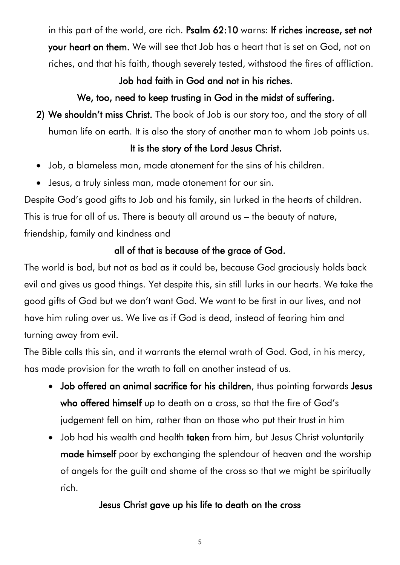in this part of the world, are rich. Psalm 62:10 warns: If riches increase, set not your heart on them. We will see that Job has a heart that is set on God, not on riches, and that his faith, though severely tested, withstood the fires of affliction.

### Job had faith in God and not in his riches.

## We, too, need to keep trusting in God in the midst of suffering.

2) We shouldn't miss Christ. The book of Job is our story too, and the story of all human life on earth. It is also the story of another man to whom Job points us.

### It is the story of the Lord Jesus Christ.

- Job, a blameless man, made atonement for the sins of his children.
- Jesus, a truly sinless man, made atonement for our sin.

Despite God's good gifts to Job and his family, sin lurked in the hearts of children. This is true for all of us. There is beauty all around us – the beauty of nature, friendship, family and kindness and

# all of that is because of the grace of God.

The world is bad, but not as bad as it could be, because God graciously holds back evil and gives us good things. Yet despite this, sin still lurks in our hearts. We take the good gifts of God but we don't want God. We want to be first in our lives, and not have him ruling over us. We live as if God is dead, instead of fearing him and turning away from evil.

The Bible calls this sin, and it warrants the eternal wrath of God. God, in his mercy, has made provision for the wrath to fall on another instead of us.

- Job offered an animal sacrifice for his children, thus pointing forwards Jesus who offered himself up to death on a cross, so that the fire of God's judgement fell on him, rather than on those who put their trust in him
- Job had his wealth and health taken from him, but Jesus Christ voluntarily made himself poor by exchanging the splendour of heaven and the worship of angels for the guilt and shame of the cross so that we might be spiritually rich.

# Jesus Christ gave up his life to death on the cross